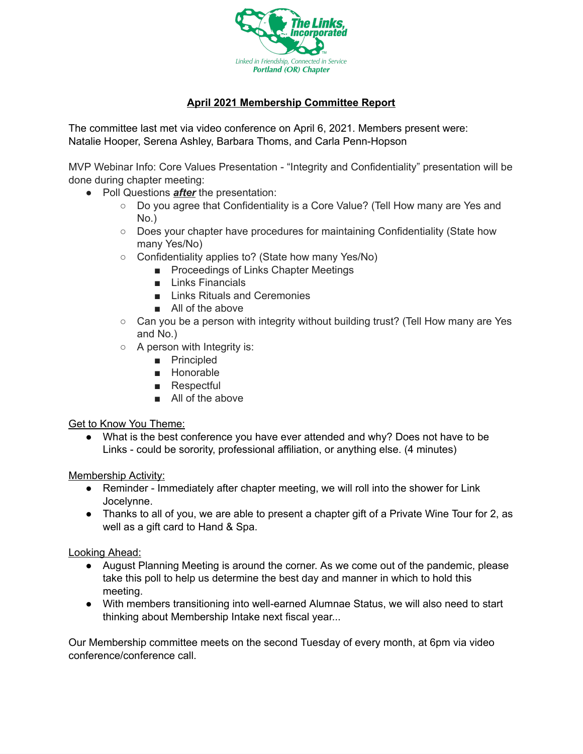

## **April 2021 Membership Committee Report**

The committee last met via video conference on April 6, 2021. Members present were: Natalie Hooper, Serena Ashley, Barbara Thoms, and Carla Penn-Hopson

MVP Webinar Info: Core Values Presentation - "Integrity and Confidentiality" presentation will be done during chapter meeting:

- Poll Questions *after* the presentation:
	- Do you agree that Confidentiality is a Core Value? (Tell How many are Yes and No.)
	- Does your chapter have procedures for maintaining Confidentiality (State how many Yes/No)
	- Confidentiality applies to? (State how many Yes/No)
		- Proceedings of Links Chapter Meetings
		- Links Financials
		- Links Rituals and Ceremonies
		- All of the above
	- $\circ$  Can you be a person with integrity without building trust? (Tell How many are Yes and No.)
	- A person with Integrity is:
		- Principled
		- Honorable
		- Respectful
		- All of the above

Get to Know You Theme:

● What is the best conference you have ever attended and why? Does not have to be Links - could be sorority, professional affiliation, or anything else. (4 minutes)

Membership Activity:

- Reminder Immediately after chapter meeting, we will roll into the shower for Link Jocelynne.
- Thanks to all of you, we are able to present a chapter gift of a Private Wine Tour for 2, as well as a gift card to Hand & Spa.

Looking Ahead:

- August Planning Meeting is around the corner. As we come out of the pandemic, please take this poll to help us determine the best day and manner in which to hold this meeting.
- With members transitioning into well-earned Alumnae Status, we will also need to start thinking about Membership Intake next fiscal year...

Our Membership committee meets on the second Tuesday of every month, at 6pm via video conference/conference call.